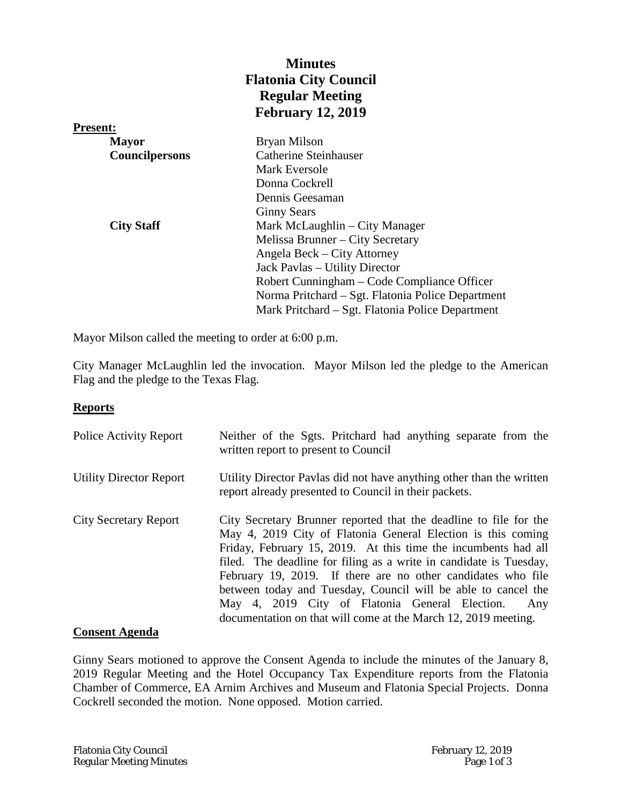|                   | <b>Minutes</b>                                    |
|-------------------|---------------------------------------------------|
|                   | <b>Flatonia City Council</b>                      |
|                   | <b>Regular Meeting</b>                            |
|                   | <b>February 12, 2019</b>                          |
| <b>Present:</b>   |                                                   |
| <b>Mayor</b>      | Bryan Milson                                      |
| Councilpersons    | <b>Catherine Steinhauser</b>                      |
|                   | Mark Eversole                                     |
|                   | Donna Cockrell                                    |
|                   | Dennis Geesaman                                   |
|                   | <b>Ginny Sears</b>                                |
| <b>City Staff</b> | Mark McLaughlin – City Manager                    |
|                   | Melissa Brunner – City Secretary                  |
|                   | Angela Beck – City Attorney                       |
|                   | Jack Pavlas – Utility Director                    |
|                   | Robert Cunningham – Code Compliance Officer       |
|                   | Norma Pritchard – Sgt. Flatonia Police Department |
|                   | Mark Pritchard – Sgt. Flatonia Police Department  |

Mayor Milson called the meeting to order at 6:00 p.m.

City Manager McLaughlin led the invocation. Mayor Milson led the pledge to the American Flag and the pledge to the Texas Flag.

# **Reports**

| <b>Police Activity Report</b>  | Neither of the Sgts. Pritchard had anything separate from the<br>written report to present to Council                                                                                                                                                                                                                                                                                                                                                                                                                                 |
|--------------------------------|---------------------------------------------------------------------------------------------------------------------------------------------------------------------------------------------------------------------------------------------------------------------------------------------------------------------------------------------------------------------------------------------------------------------------------------------------------------------------------------------------------------------------------------|
| <b>Utility Director Report</b> | Utility Director Pavlas did not have anything other than the written<br>report already presented to Council in their packets.                                                                                                                                                                                                                                                                                                                                                                                                         |
| <b>City Secretary Report</b>   | City Secretary Brunner reported that the deadline to file for the<br>May 4, 2019 City of Flatonia General Election is this coming<br>Friday, February 15, 2019. At this time the incumbents had all<br>filed. The deadline for filing as a write in candidate is Tuesday,<br>February 19, 2019. If there are no other candidates who file<br>between today and Tuesday, Council will be able to cancel the<br>May 4, 2019 City of Flatonia General Election.<br>Any<br>documentation on that will come at the March 12, 2019 meeting. |

# **Consent Agenda**

Ginny Sears motioned to approve the Consent Agenda to include the minutes of the January 8, 2019 Regular Meeting and the Hotel Occupancy Tax Expenditure reports from the Flatonia Chamber of Commerce, EA Arnim Archives and Museum and Flatonia Special Projects. Donna Cockrell seconded the motion. None opposed. Motion carried.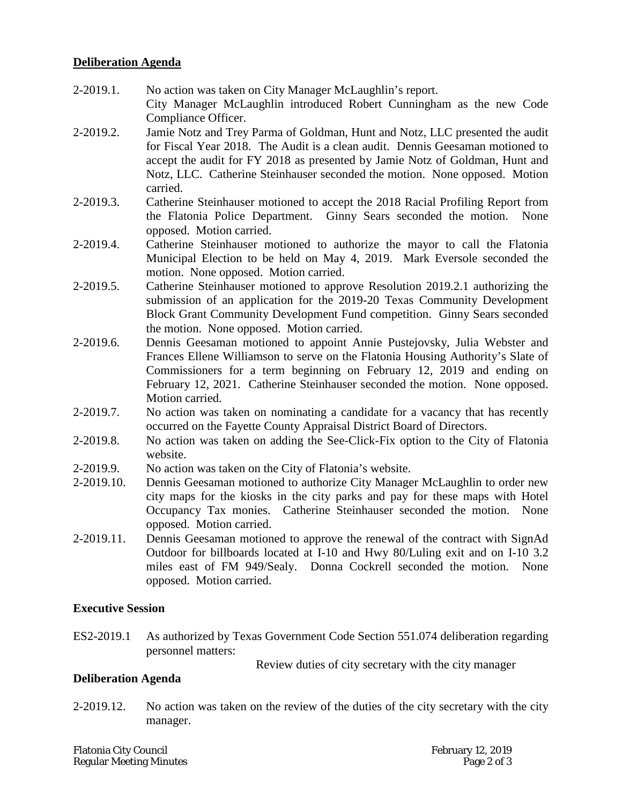# **Deliberation Agenda**

- 2-2019.1. No action was taken on City Manager McLaughlin's report. City Manager McLaughlin introduced Robert Cunningham as the new Code Compliance Officer.
- 2-2019.2. Jamie Notz and Trey Parma of Goldman, Hunt and Notz, LLC presented the audit for Fiscal Year 2018. The Audit is a clean audit. Dennis Geesaman motioned to accept the audit for FY 2018 as presented by Jamie Notz of Goldman, Hunt and Notz, LLC. Catherine Steinhauser seconded the motion. None opposed. Motion carried.
- 2-2019.3. Catherine Steinhauser motioned to accept the 2018 Racial Profiling Report from the Flatonia Police Department. Ginny Sears seconded the motion. None opposed. Motion carried.
- 2-2019.4. Catherine Steinhauser motioned to authorize the mayor to call the Flatonia Municipal Election to be held on May 4, 2019. Mark Eversole seconded the motion. None opposed. Motion carried.
- 2-2019.5. Catherine Steinhauser motioned to approve Resolution 2019.2.1 authorizing the submission of an application for the 2019-20 Texas Community Development Block Grant Community Development Fund competition. Ginny Sears seconded the motion. None opposed. Motion carried.
- 2-2019.6. Dennis Geesaman motioned to appoint Annie Pustejovsky, Julia Webster and Frances Ellene Williamson to serve on the Flatonia Housing Authority's Slate of Commissioners for a term beginning on February 12, 2019 and ending on February 12, 2021. Catherine Steinhauser seconded the motion. None opposed. Motion carried.
- 2-2019.7. No action was taken on nominating a candidate for a vacancy that has recently occurred on the Fayette County Appraisal District Board of Directors.
- 2-2019.8. No action was taken on adding the See-Click-Fix option to the City of Flatonia website.
- 2-2019.9. No action was taken on the City of Flatonia's website.
- 2-2019.10. Dennis Geesaman motioned to authorize City Manager McLaughlin to order new city maps for the kiosks in the city parks and pay for these maps with Hotel Occupancy Tax monies. Catherine Steinhauser seconded the motion. None opposed. Motion carried.
- 2-2019.11. Dennis Geesaman motioned to approve the renewal of the contract with SignAd Outdoor for billboards located at I-10 and Hwy 80/Luling exit and on I-10 3.2 miles east of FM 949/Sealy. Donna Cockrell seconded the motion. None opposed. Motion carried.

# **Executive Session**

ES2-2019.1 As authorized by Texas Government Code Section 551.074 deliberation regarding personnel matters:

Review duties of city secretary with the city manager

# **Deliberation Agenda**

2-2019.12. No action was taken on the review of the duties of the city secretary with the city manager.

Flatonia City Council February 12, 2019 **Regular Meeting Minutes**